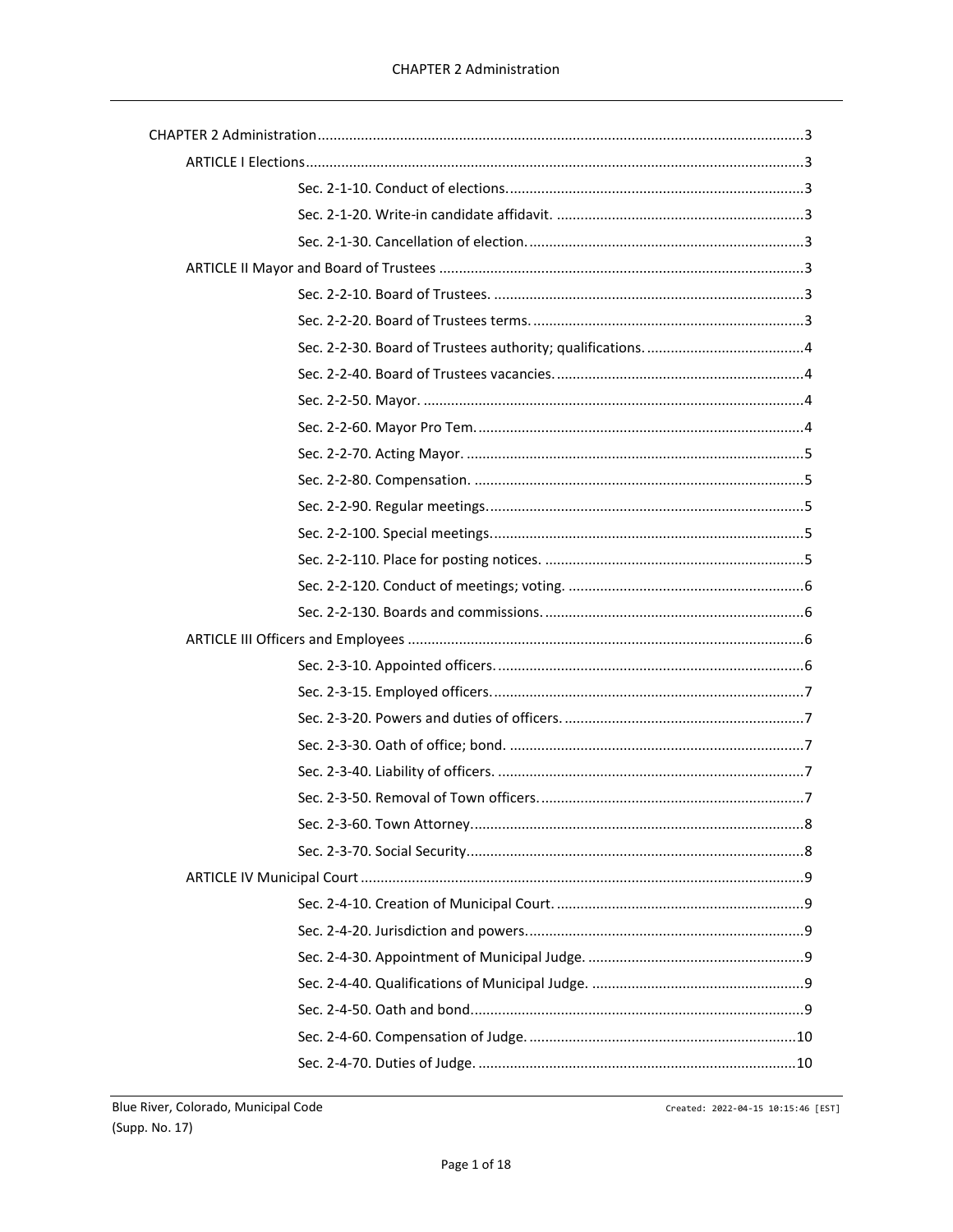Created: 2022-04-15 10:15:46 [EST]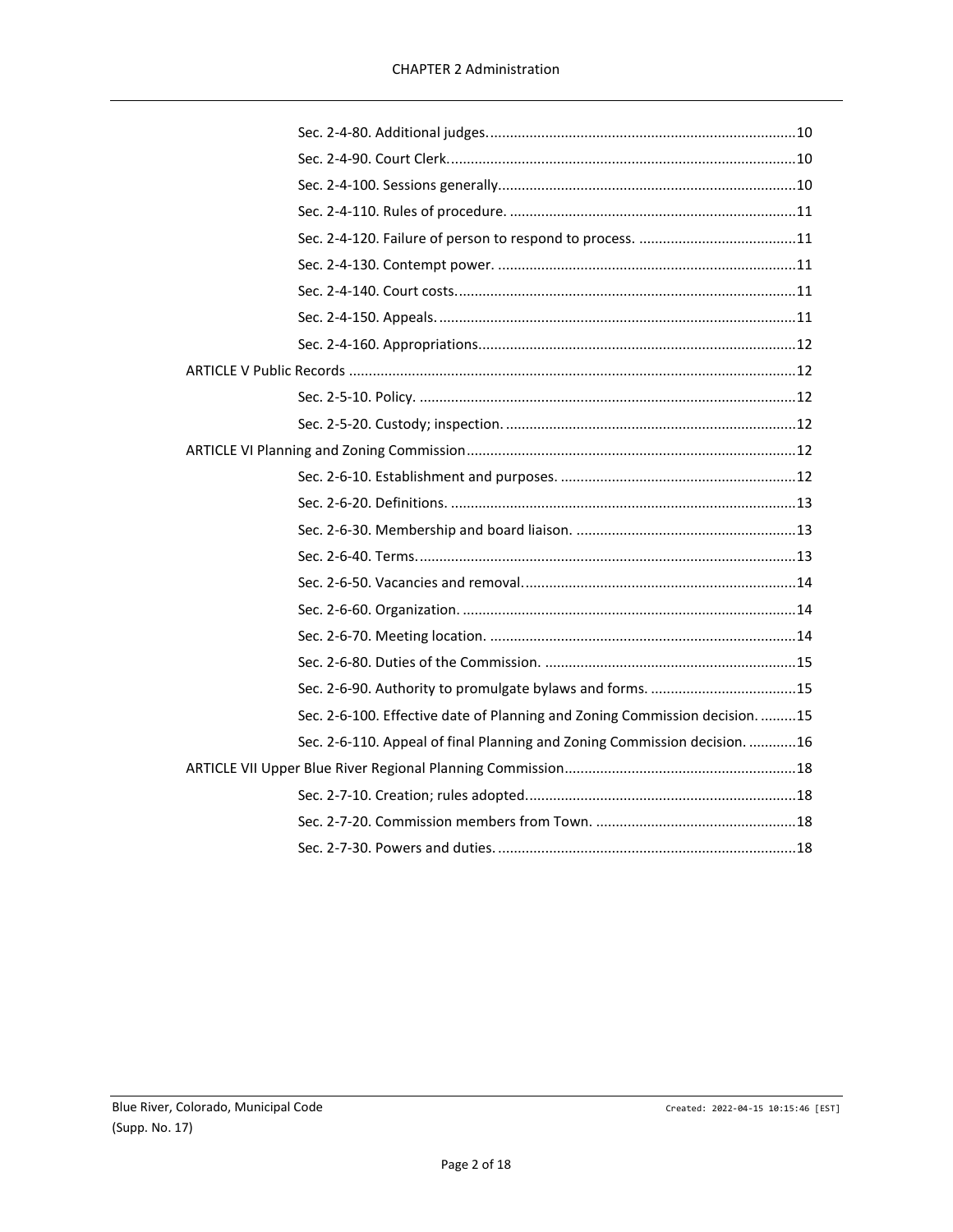| Sec. 2-6-100. Effective date of Planning and Zoning Commission decision. 15 |  |
|-----------------------------------------------------------------------------|--|
| Sec. 2-6-110. Appeal of final Planning and Zoning Commission decision. 16   |  |
|                                                                             |  |
|                                                                             |  |
|                                                                             |  |
|                                                                             |  |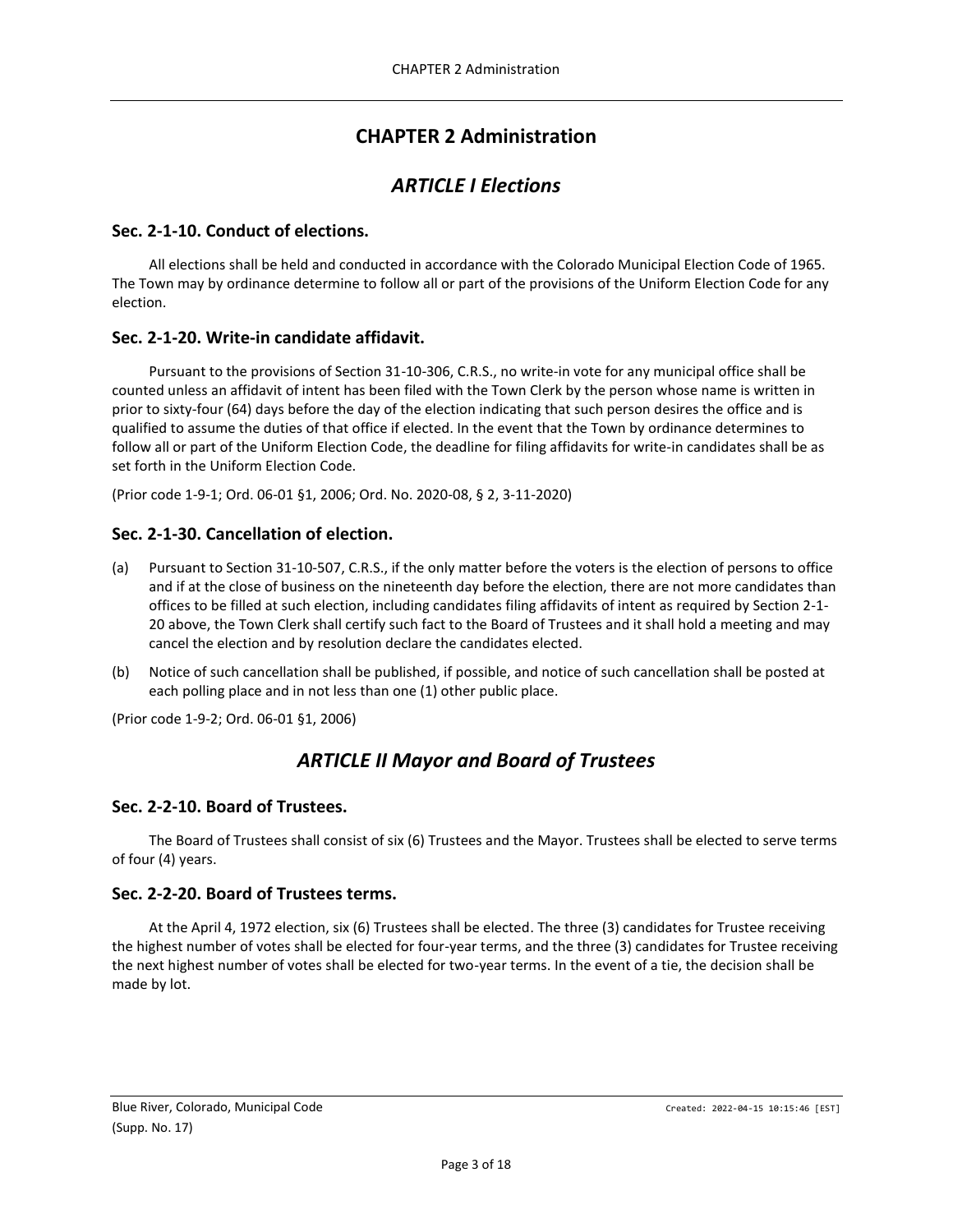# **CHAPTER 2 Administration**

## *ARTICLE I Elections*

## <span id="page-2-2"></span><span id="page-2-1"></span><span id="page-2-0"></span>**Sec. 2-1-10. Conduct of elections.**

All elections shall be held and conducted in accordance with the Colorado Municipal Election Code of 1965. The Town may by ordinance determine to follow all or part of the provisions of the Uniform Election Code for any election.

## <span id="page-2-3"></span>**Sec. 2-1-20. Write-in candidate affidavit.**

Pursuant to the provisions of Section 31-10-306, C.R.S., no write-in vote for any municipal office shall be counted unless an affidavit of intent has been filed with the Town Clerk by the person whose name is written in prior to sixty-four (64) days before the day of the election indicating that such person desires the office and is qualified to assume the duties of that office if elected. In the event that the Town by ordinance determines to follow all or part of the Uniform Election Code, the deadline for filing affidavits for write-in candidates shall be as set forth in the Uniform Election Code.

(Prior code 1-9-1; Ord. 06-01 §1, 2006; Ord. No. 2020-08, § 2, 3-11-2020)

## <span id="page-2-4"></span>**Sec. 2-1-30. Cancellation of election.**

- (a) Pursuant to Section 31-10-507, C.R.S., if the only matter before the voters is the election of persons to office and if at the close of business on the nineteenth day before the election, there are not more candidates than offices to be filled at such election, including candidates filing affidavits of intent as required by Section 2-1- 20 above, the Town Clerk shall certify such fact to the Board of Trustees and it shall hold a meeting and may cancel the election and by resolution declare the candidates elected.
- (b) Notice of such cancellation shall be published, if possible, and notice of such cancellation shall be posted at each polling place and in not less than one (1) other public place.

<span id="page-2-5"></span>(Prior code 1-9-2; Ord. 06-01 §1, 2006)

# *ARTICLE II Mayor and Board of Trustees*

## <span id="page-2-6"></span>**Sec. 2-2-10. Board of Trustees.**

The Board of Trustees shall consist of six (6) Trustees and the Mayor. Trustees shall be elected to serve terms of four (4) years.

## <span id="page-2-7"></span>**Sec. 2-2-20. Board of Trustees terms.**

At the April 4, 1972 election, six (6) Trustees shall be elected. The three (3) candidates for Trustee receiving the highest number of votes shall be elected for four-year terms, and the three (3) candidates for Trustee receiving the next highest number of votes shall be elected for two-year terms. In the event of a tie, the decision shall be made by lot.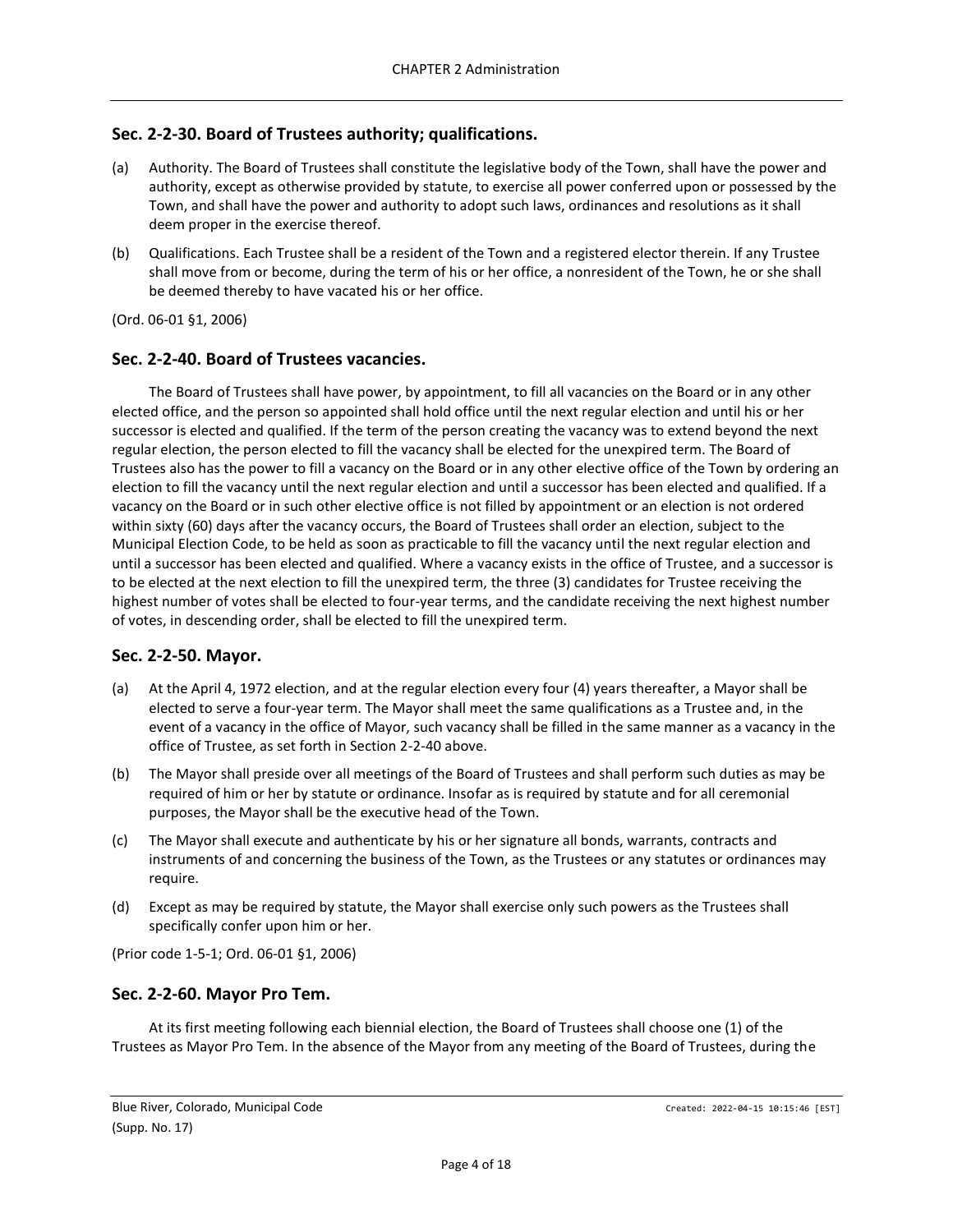## <span id="page-3-0"></span>**Sec. 2-2-30. Board of Trustees authority; qualifications.**

- (a) Authority. The Board of Trustees shall constitute the legislative body of the Town, shall have the power and authority, except as otherwise provided by statute, to exercise all power conferred upon or possessed by the Town, and shall have the power and authority to adopt such laws, ordinances and resolutions as it shall deem proper in the exercise thereof.
- (b) Qualifications. Each Trustee shall be a resident of the Town and a registered elector therein. If any Trustee shall move from or become, during the term of his or her office, a nonresident of the Town, he or she shall be deemed thereby to have vacated his or her office.

(Ord. 06-01 §1, 2006)

#### <span id="page-3-1"></span>**Sec. 2-2-40. Board of Trustees vacancies.**

The Board of Trustees shall have power, by appointment, to fill all vacancies on the Board or in any other elected office, and the person so appointed shall hold office until the next regular election and until his or her successor is elected and qualified. If the term of the person creating the vacancy was to extend beyond the next regular election, the person elected to fill the vacancy shall be elected for the unexpired term. The Board of Trustees also has the power to fill a vacancy on the Board or in any other elective office of the Town by ordering an election to fill the vacancy until the next regular election and until a successor has been elected and qualified. If a vacancy on the Board or in such other elective office is not filled by appointment or an election is not ordered within sixty (60) days after the vacancy occurs, the Board of Trustees shall order an election, subject to the Municipal Election Code, to be held as soon as practicable to fill the vacancy until the next regular election and until a successor has been elected and qualified. Where a vacancy exists in the office of Trustee, and a successor is to be elected at the next election to fill the unexpired term, the three (3) candidates for Trustee receiving the highest number of votes shall be elected to four-year terms, and the candidate receiving the next highest number of votes, in descending order, shall be elected to fill the unexpired term.

## <span id="page-3-2"></span>**Sec. 2-2-50. Mayor.**

- (a) At the April 4, 1972 election, and at the regular election every four (4) years thereafter, a Mayor shall be elected to serve a four-year term. The Mayor shall meet the same qualifications as a Trustee and, in the event of a vacancy in the office of Mayor, such vacancy shall be filled in the same manner as a vacancy in the office of Trustee, as set forth in Section 2-2-40 above.
- (b) The Mayor shall preside over all meetings of the Board of Trustees and shall perform such duties as may be required of him or her by statute or ordinance. Insofar as is required by statute and for all ceremonial purposes, the Mayor shall be the executive head of the Town.
- (c) The Mayor shall execute and authenticate by his or her signature all bonds, warrants, contracts and instruments of and concerning the business of the Town, as the Trustees or any statutes or ordinances may require.
- (d) Except as may be required by statute, the Mayor shall exercise only such powers as the Trustees shall specifically confer upon him or her.

(Prior code 1-5-1; Ord. 06-01 §1, 2006)

#### <span id="page-3-3"></span>**Sec. 2-2-60. Mayor Pro Tem.**

At its first meeting following each biennial election, the Board of Trustees shall choose one (1) of the Trustees as Mayor Pro Tem. In the absence of the Mayor from any meeting of the Board of Trustees, during the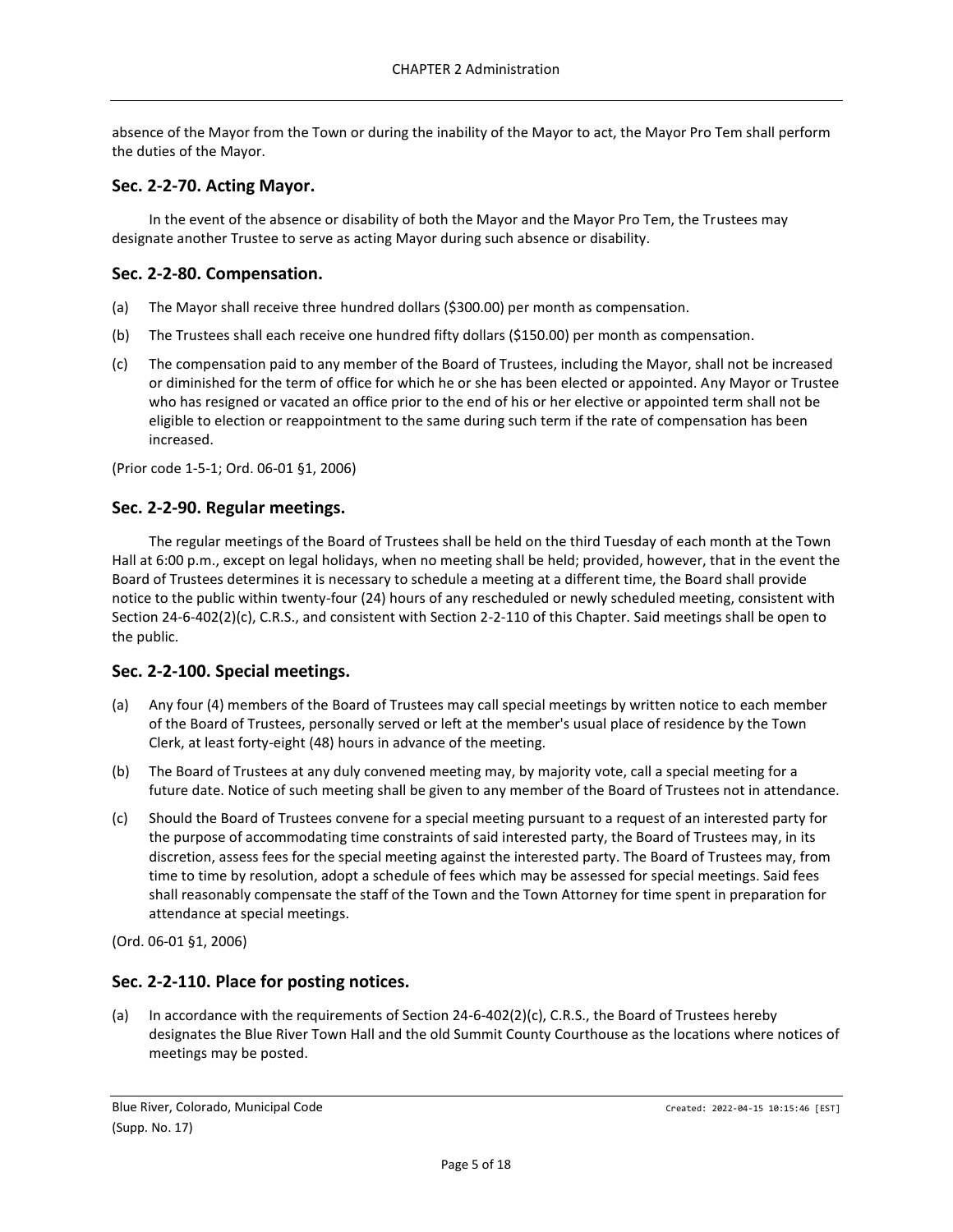absence of the Mayor from the Town or during the inability of the Mayor to act, the Mayor Pro Tem shall perform the duties of the Mayor.

#### <span id="page-4-0"></span>**Sec. 2-2-70. Acting Mayor.**

In the event of the absence or disability of both the Mayor and the Mayor Pro Tem, the Trustees may designate another Trustee to serve as acting Mayor during such absence or disability.

## <span id="page-4-1"></span>**Sec. 2-2-80. Compensation.**

- (a) The Mayor shall receive three hundred dollars (\$300.00) per month as compensation.
- (b) The Trustees shall each receive one hundred fifty dollars (\$150.00) per month as compensation.
- (c) The compensation paid to any member of the Board of Trustees, including the Mayor, shall not be increased or diminished for the term of office for which he or she has been elected or appointed. Any Mayor or Trustee who has resigned or vacated an office prior to the end of his or her elective or appointed term shall not be eligible to election or reappointment to the same during such term if the rate of compensation has been increased.

(Prior code 1-5-1; Ord. 06-01 §1, 2006)

#### <span id="page-4-2"></span>**Sec. 2-2-90. Regular meetings.**

The regular meetings of the Board of Trustees shall be held on the third Tuesday of each month at the Town Hall at 6:00 p.m., except on legal holidays, when no meeting shall be held; provided, however, that in the event the Board of Trustees determines it is necessary to schedule a meeting at a different time, the Board shall provide notice to the public within twenty-four (24) hours of any rescheduled or newly scheduled meeting, consistent with Section 24-6-402(2)(c), C.R.S., and consistent with Section 2-2-110 of this Chapter. Said meetings shall be open to the public.

#### <span id="page-4-3"></span>**Sec. 2-2-100. Special meetings.**

- (a) Any four (4) members of the Board of Trustees may call special meetings by written notice to each member of the Board of Trustees, personally served or left at the member's usual place of residence by the Town Clerk, at least forty-eight (48) hours in advance of the meeting.
- (b) The Board of Trustees at any duly convened meeting may, by majority vote, call a special meeting for a future date. Notice of such meeting shall be given to any member of the Board of Trustees not in attendance.
- (c) Should the Board of Trustees convene for a special meeting pursuant to a request of an interested party for the purpose of accommodating time constraints of said interested party, the Board of Trustees may, in its discretion, assess fees for the special meeting against the interested party. The Board of Trustees may, from time to time by resolution, adopt a schedule of fees which may be assessed for special meetings. Said fees shall reasonably compensate the staff of the Town and the Town Attorney for time spent in preparation for attendance at special meetings.

(Ord. 06-01 §1, 2006)

## <span id="page-4-4"></span>**Sec. 2-2-110. Place for posting notices.**

(a) In accordance with the requirements of Section 24-6-402(2)(c), C.R.S., the Board of Trustees hereby designates the Blue River Town Hall and the old Summit County Courthouse as the locations where notices of meetings may be posted.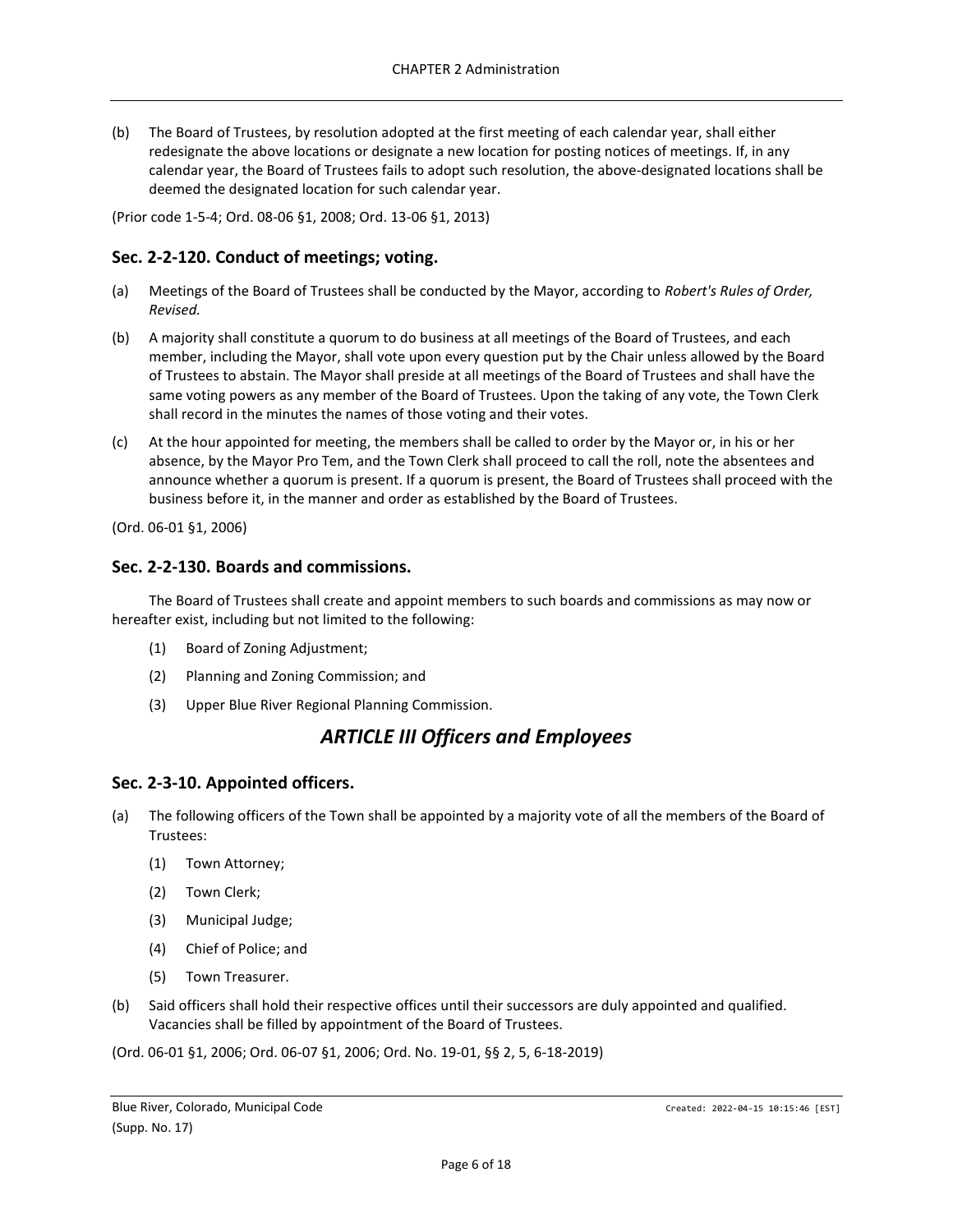(b) The Board of Trustees, by resolution adopted at the first meeting of each calendar year, shall either redesignate the above locations or designate a new location for posting notices of meetings. If, in any calendar year, the Board of Trustees fails to adopt such resolution, the above-designated locations shall be deemed the designated location for such calendar year.

(Prior code 1-5-4; Ord. 08-06 §1, 2008; Ord. 13-06 §1, 2013)

## <span id="page-5-0"></span>**Sec. 2-2-120. Conduct of meetings; voting.**

- (a) Meetings of the Board of Trustees shall be conducted by the Mayor, according to *Robert's Rules of Order, Revised.*
- (b) A majority shall constitute a quorum to do business at all meetings of the Board of Trustees, and each member, including the Mayor, shall vote upon every question put by the Chair unless allowed by the Board of Trustees to abstain. The Mayor shall preside at all meetings of the Board of Trustees and shall have the same voting powers as any member of the Board of Trustees. Upon the taking of any vote, the Town Clerk shall record in the minutes the names of those voting and their votes.
- (c) At the hour appointed for meeting, the members shall be called to order by the Mayor or, in his or her absence, by the Mayor Pro Tem, and the Town Clerk shall proceed to call the roll, note the absentees and announce whether a quorum is present. If a quorum is present, the Board of Trustees shall proceed with the business before it, in the manner and order as established by the Board of Trustees.

(Ord. 06-01 §1, 2006)

#### <span id="page-5-1"></span>**Sec. 2-2-130. Boards and commissions.**

The Board of Trustees shall create and appoint members to such boards and commissions as may now or hereafter exist, including but not limited to the following:

- (1) Board of Zoning Adjustment;
- (2) Planning and Zoning Commission; and
- <span id="page-5-2"></span>(3) Upper Blue River Regional Planning Commission.

## *ARTICLE III Officers and Employees*

#### <span id="page-5-3"></span>**Sec. 2-3-10. Appointed officers.**

- (a) The following officers of the Town shall be appointed by a majority vote of all the members of the Board of Trustees:
	- (1) Town Attorney;
	- (2) Town Clerk;
	- (3) Municipal Judge;
	- (4) Chief of Police; and
	- (5) Town Treasurer.
- (b) Said officers shall hold their respective offices until their successors are duly appointed and qualified. Vacancies shall be filled by appointment of the Board of Trustees.

(Ord. 06-01 §1, 2006; Ord. 06-07 §1, 2006; Ord. No. 19-01, §§ 2, 5, 6-18-2019)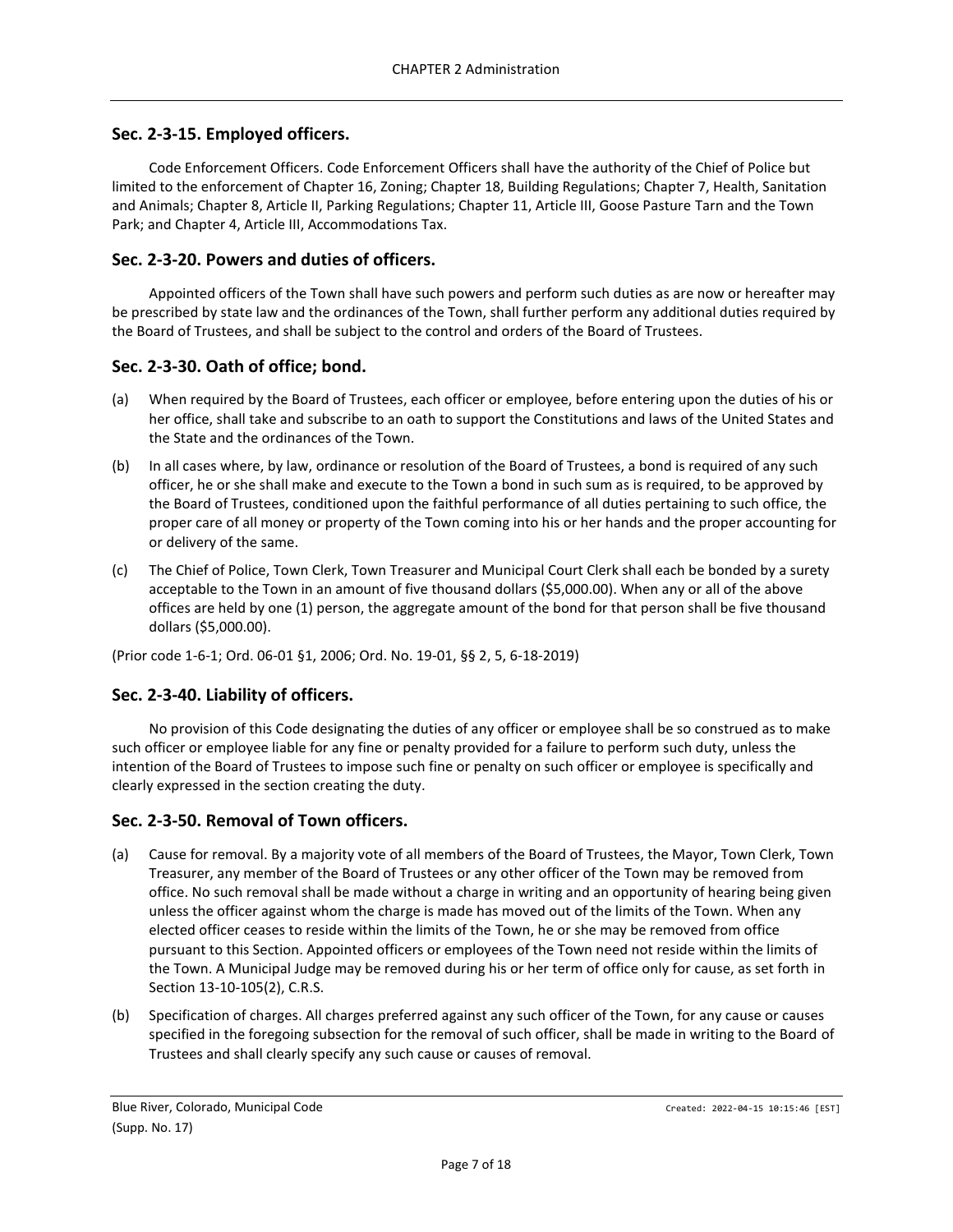## <span id="page-6-0"></span>**Sec. 2-3-15. Employed officers.**

Code Enforcement Officers. Code Enforcement Officers shall have the authority of the Chief of Police but limited to the enforcement of Chapter 16, Zoning; Chapter 18, Building Regulations; Chapter 7, Health, Sanitation and Animals; Chapter 8, Article II, Parking Regulations; Chapter 11, Article III, Goose Pasture Tarn and the Town Park; and Chapter 4, Article III, Accommodations Tax.

#### <span id="page-6-1"></span>**Sec. 2-3-20. Powers and duties of officers.**

Appointed officers of the Town shall have such powers and perform such duties as are now or hereafter may be prescribed by state law and the ordinances of the Town, shall further perform any additional duties required by the Board of Trustees, and shall be subject to the control and orders of the Board of Trustees.

#### <span id="page-6-2"></span>**Sec. 2-3-30. Oath of office; bond.**

- (a) When required by the Board of Trustees, each officer or employee, before entering upon the duties of his or her office, shall take and subscribe to an oath to support the Constitutions and laws of the United States and the State and the ordinances of the Town.
- (b) In all cases where, by law, ordinance or resolution of the Board of Trustees, a bond is required of any such officer, he or she shall make and execute to the Town a bond in such sum as is required, to be approved by the Board of Trustees, conditioned upon the faithful performance of all duties pertaining to such office, the proper care of all money or property of the Town coming into his or her hands and the proper accounting for or delivery of the same.
- (c) The Chief of Police, Town Clerk, Town Treasurer and Municipal Court Clerk shall each be bonded by a surety acceptable to the Town in an amount of five thousand dollars (\$5,000.00). When any or all of the above offices are held by one (1) person, the aggregate amount of the bond for that person shall be five thousand dollars (\$5,000.00).

(Prior code 1-6-1; Ord. 06-01 §1, 2006; Ord. No. 19-01, §§ 2, 5, 6-18-2019)

#### <span id="page-6-3"></span>**Sec. 2-3-40. Liability of officers.**

No provision of this Code designating the duties of any officer or employee shall be so construed as to make such officer or employee liable for any fine or penalty provided for a failure to perform such duty, unless the intention of the Board of Trustees to impose such fine or penalty on such officer or employee is specifically and clearly expressed in the section creating the duty.

## <span id="page-6-4"></span>**Sec. 2-3-50. Removal of Town officers.**

- (a) Cause for removal. By a majority vote of all members of the Board of Trustees, the Mayor, Town Clerk, Town Treasurer, any member of the Board of Trustees or any other officer of the Town may be removed from office. No such removal shall be made without a charge in writing and an opportunity of hearing being given unless the officer against whom the charge is made has moved out of the limits of the Town. When any elected officer ceases to reside within the limits of the Town, he or she may be removed from office pursuant to this Section. Appointed officers or employees of the Town need not reside within the limits of the Town. A Municipal Judge may be removed during his or her term of office only for cause, as set forth in Section 13-10-105(2), C.R.S.
- (b) Specification of charges. All charges preferred against any such officer of the Town, for any cause or causes specified in the foregoing subsection for the removal of such officer, shall be made in writing to the Board of Trustees and shall clearly specify any such cause or causes of removal.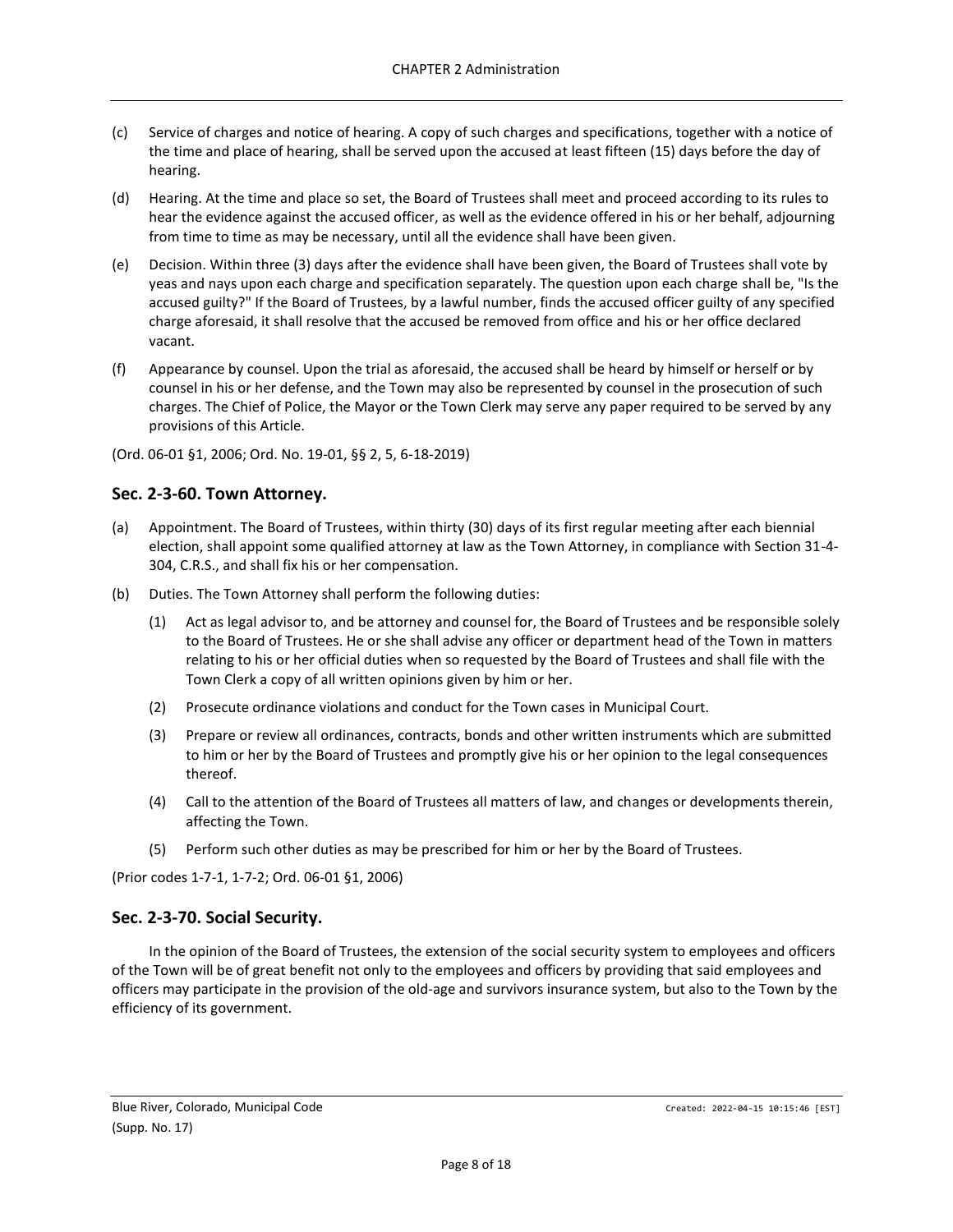- (c) Service of charges and notice of hearing. A copy of such charges and specifications, together with a notice of the time and place of hearing, shall be served upon the accused at least fifteen (15) days before the day of hearing.
- (d) Hearing. At the time and place so set, the Board of Trustees shall meet and proceed according to its rules to hear the evidence against the accused officer, as well as the evidence offered in his or her behalf, adjourning from time to time as may be necessary, until all the evidence shall have been given.
- (e) Decision. Within three (3) days after the evidence shall have been given, the Board of Trustees shall vote by yeas and nays upon each charge and specification separately. The question upon each charge shall be, "Is the accused guilty?" If the Board of Trustees, by a lawful number, finds the accused officer guilty of any specified charge aforesaid, it shall resolve that the accused be removed from office and his or her office declared vacant.
- (f) Appearance by counsel. Upon the trial as aforesaid, the accused shall be heard by himself or herself or by counsel in his or her defense, and the Town may also be represented by counsel in the prosecution of such charges. The Chief of Police, the Mayor or the Town Clerk may serve any paper required to be served by any provisions of this Article.

(Ord. 06-01 §1, 2006; Ord. No. 19-01, §§ 2, 5, 6-18-2019)

## <span id="page-7-0"></span>**Sec. 2-3-60. Town Attorney.**

- (a) Appointment. The Board of Trustees, within thirty (30) days of its first regular meeting after each biennial election, shall appoint some qualified attorney at law as the Town Attorney, in compliance with Section 31-4- 304, C.R.S., and shall fix his or her compensation.
- (b) Duties. The Town Attorney shall perform the following duties:
	- (1) Act as legal advisor to, and be attorney and counsel for, the Board of Trustees and be responsible solely to the Board of Trustees. He or she shall advise any officer or department head of the Town in matters relating to his or her official duties when so requested by the Board of Trustees and shall file with the Town Clerk a copy of all written opinions given by him or her.
	- (2) Prosecute ordinance violations and conduct for the Town cases in Municipal Court.
	- (3) Prepare or review all ordinances, contracts, bonds and other written instruments which are submitted to him or her by the Board of Trustees and promptly give his or her opinion to the legal consequences thereof.
	- (4) Call to the attention of the Board of Trustees all matters of law, and changes or developments therein, affecting the Town.
	- (5) Perform such other duties as may be prescribed for him or her by the Board of Trustees.

(Prior codes 1-7-1, 1-7-2; Ord. 06-01 §1, 2006)

## <span id="page-7-1"></span>**Sec. 2-3-70. Social Security.**

In the opinion of the Board of Trustees, the extension of the social security system to employees and officers of the Town will be of great benefit not only to the employees and officers by providing that said employees and officers may participate in the provision of the old-age and survivors insurance system, but also to the Town by the efficiency of its government.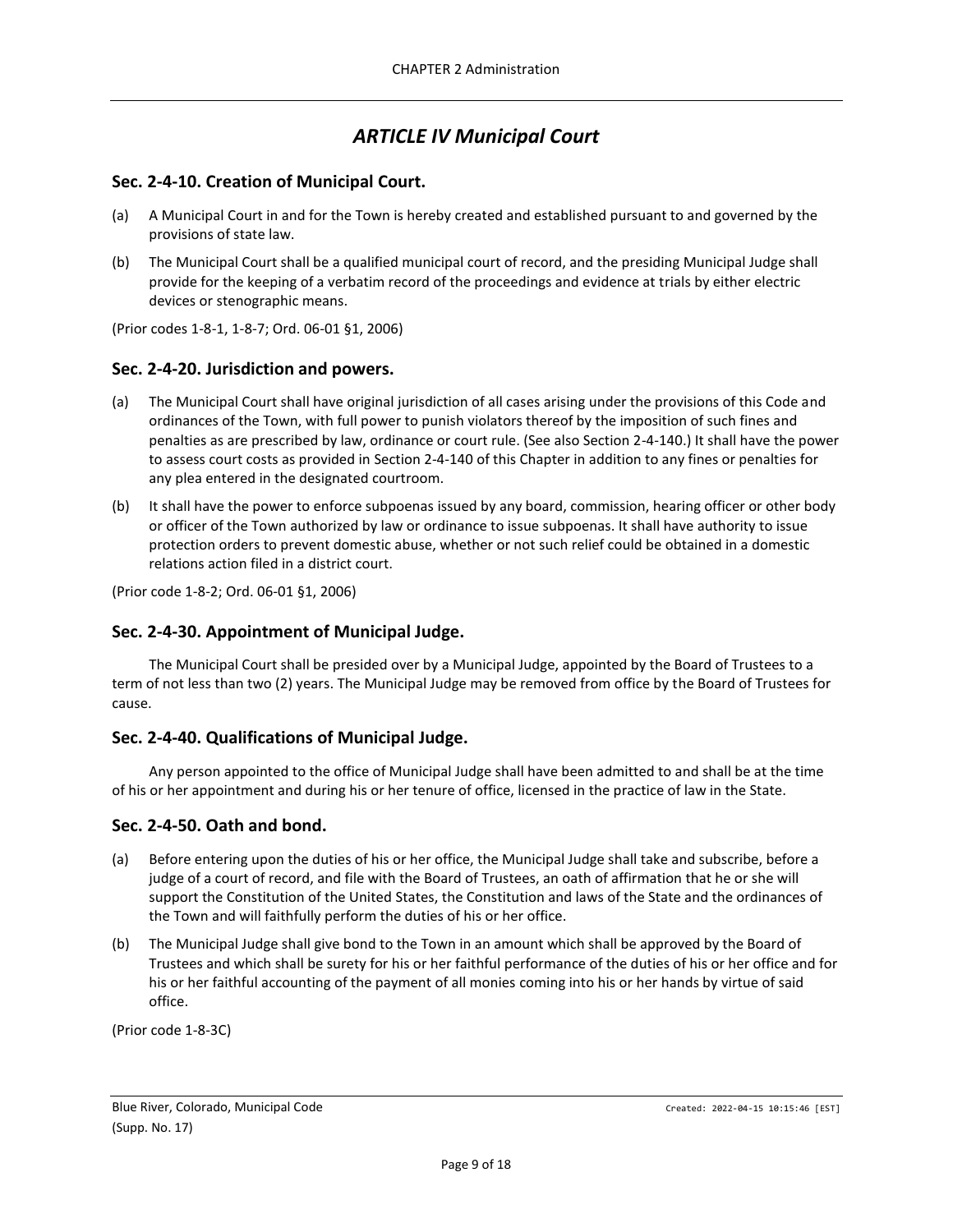# *ARTICLE IV Municipal Court*

## <span id="page-8-1"></span><span id="page-8-0"></span>**Sec. 2-4-10. Creation of Municipal Court.**

- (a) A Municipal Court in and for the Town is hereby created and established pursuant to and governed by the provisions of state law.
- (b) The Municipal Court shall be a qualified municipal court of record, and the presiding Municipal Judge shall provide for the keeping of a verbatim record of the proceedings and evidence at trials by either electric devices or stenographic means.

(Prior codes 1-8-1, 1-8-7; Ord. 06-01 §1, 2006)

## <span id="page-8-2"></span>**Sec. 2-4-20. Jurisdiction and powers.**

- (a) The Municipal Court shall have original jurisdiction of all cases arising under the provisions of this Code and ordinances of the Town, with full power to punish violators thereof by the imposition of such fines and penalties as are prescribed by law, ordinance or court rule. (See also Section 2-4-140.) It shall have the power to assess court costs as provided in Section 2-4-140 of this Chapter in addition to any fines or penalties for any plea entered in the designated courtroom.
- (b) It shall have the power to enforce subpoenas issued by any board, commission, hearing officer or other body or officer of the Town authorized by law or ordinance to issue subpoenas. It shall have authority to issue protection orders to prevent domestic abuse, whether or not such relief could be obtained in a domestic relations action filed in a district court.

(Prior code 1-8-2; Ord. 06-01 §1, 2006)

## <span id="page-8-3"></span>**Sec. 2-4-30. Appointment of Municipal Judge.**

The Municipal Court shall be presided over by a Municipal Judge, appointed by the Board of Trustees to a term of not less than two (2) years. The Municipal Judge may be removed from office by the Board of Trustees for cause.

## <span id="page-8-4"></span>**Sec. 2-4-40. Qualifications of Municipal Judge.**

Any person appointed to the office of Municipal Judge shall have been admitted to and shall be at the time of his or her appointment and during his or her tenure of office, licensed in the practice of law in the State.

## <span id="page-8-5"></span>**Sec. 2-4-50. Oath and bond.**

- (a) Before entering upon the duties of his or her office, the Municipal Judge shall take and subscribe, before a judge of a court of record, and file with the Board of Trustees, an oath of affirmation that he or she will support the Constitution of the United States, the Constitution and laws of the State and the ordinances of the Town and will faithfully perform the duties of his or her office.
- (b) The Municipal Judge shall give bond to the Town in an amount which shall be approved by the Board of Trustees and which shall be surety for his or her faithful performance of the duties of his or her office and for his or her faithful accounting of the payment of all monies coming into his or her hands by virtue of said office.

(Prior code 1-8-3C)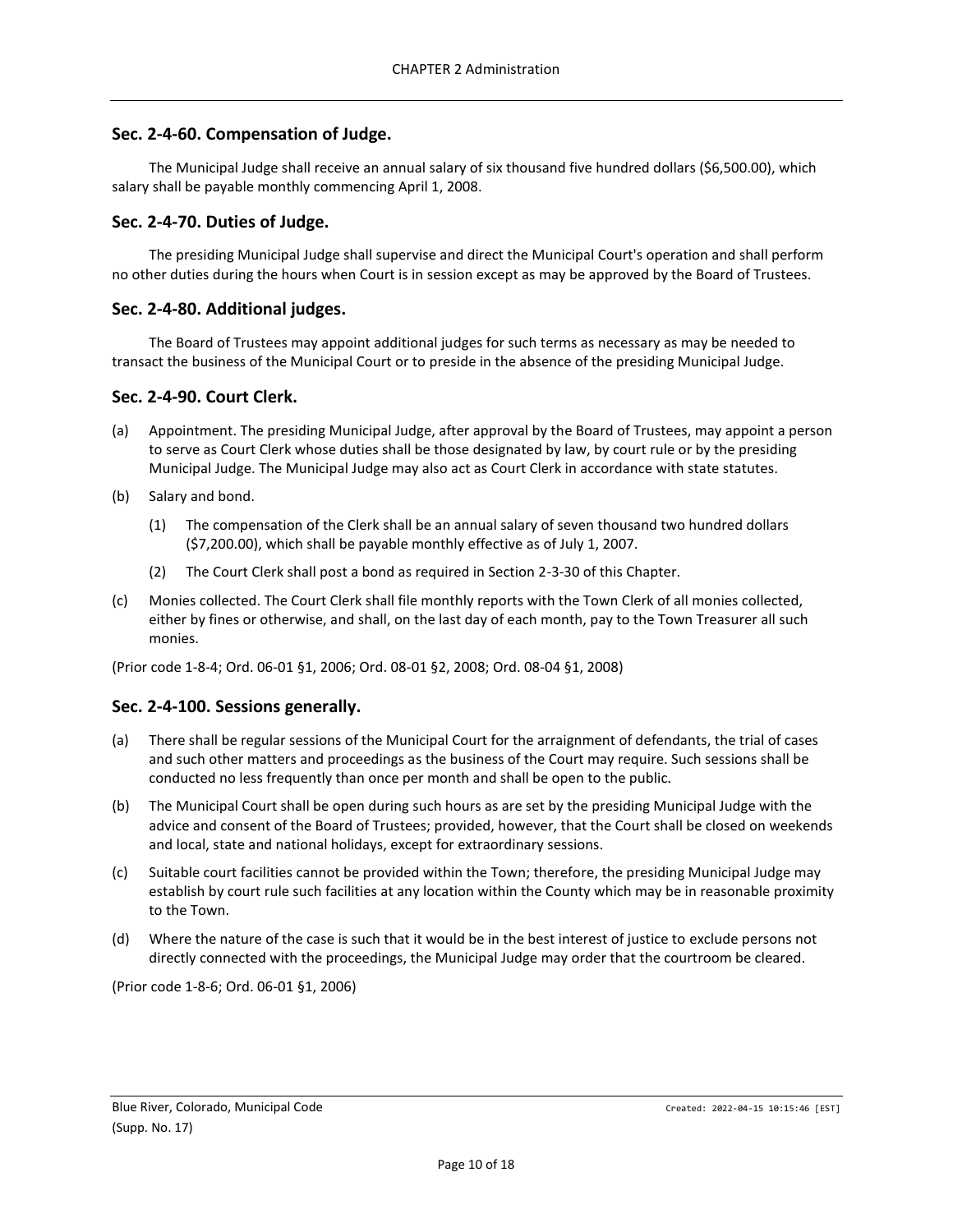## <span id="page-9-0"></span>**Sec. 2-4-60. Compensation of Judge.**

The Municipal Judge shall receive an annual salary of six thousand five hundred dollars (\$6,500.00), which salary shall be payable monthly commencing April 1, 2008.

#### <span id="page-9-1"></span>**Sec. 2-4-70. Duties of Judge.**

The presiding Municipal Judge shall supervise and direct the Municipal Court's operation and shall perform no other duties during the hours when Court is in session except as may be approved by the Board of Trustees.

#### <span id="page-9-2"></span>**Sec. 2-4-80. Additional judges.**

The Board of Trustees may appoint additional judges for such terms as necessary as may be needed to transact the business of the Municipal Court or to preside in the absence of the presiding Municipal Judge.

#### <span id="page-9-3"></span>**Sec. 2-4-90. Court Clerk.**

- (a) Appointment. The presiding Municipal Judge, after approval by the Board of Trustees, may appoint a person to serve as Court Clerk whose duties shall be those designated by law, by court rule or by the presiding Municipal Judge. The Municipal Judge may also act as Court Clerk in accordance with state statutes.
- (b) Salary and bond.
	- (1) The compensation of the Clerk shall be an annual salary of seven thousand two hundred dollars (\$7,200.00), which shall be payable monthly effective as of July 1, 2007.
	- (2) The Court Clerk shall post a bond as required in Section 2-3-30 of this Chapter.
- (c) Monies collected. The Court Clerk shall file monthly reports with the Town Clerk of all monies collected, either by fines or otherwise, and shall, on the last day of each month, pay to the Town Treasurer all such monies.

(Prior code 1-8-4; Ord. 06-01 §1, 2006; Ord. 08-01 §2, 2008; Ord. 08-04 §1, 2008)

## <span id="page-9-4"></span>**Sec. 2-4-100. Sessions generally.**

- (a) There shall be regular sessions of the Municipal Court for the arraignment of defendants, the trial of cases and such other matters and proceedings as the business of the Court may require. Such sessions shall be conducted no less frequently than once per month and shall be open to the public.
- (b) The Municipal Court shall be open during such hours as are set by the presiding Municipal Judge with the advice and consent of the Board of Trustees; provided, however, that the Court shall be closed on weekends and local, state and national holidays, except for extraordinary sessions.
- (c) Suitable court facilities cannot be provided within the Town; therefore, the presiding Municipal Judge may establish by court rule such facilities at any location within the County which may be in reasonable proximity to the Town.
- (d) Where the nature of the case is such that it would be in the best interest of justice to exclude persons not directly connected with the proceedings, the Municipal Judge may order that the courtroom be cleared.

(Prior code 1-8-6; Ord. 06-01 §1, 2006)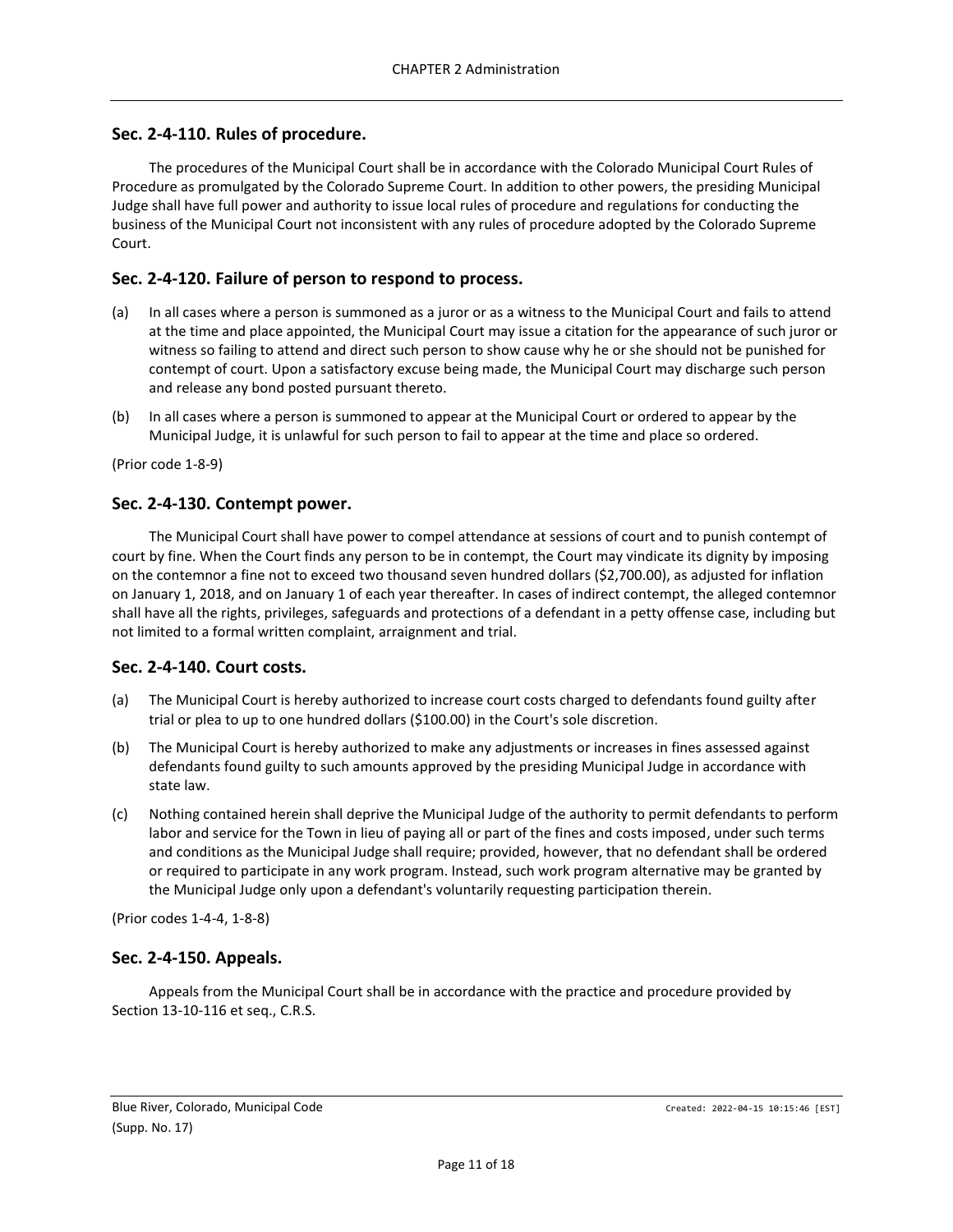## <span id="page-10-0"></span>**Sec. 2-4-110. Rules of procedure.**

The procedures of the Municipal Court shall be in accordance with the Colorado Municipal Court Rules of Procedure as promulgated by the Colorado Supreme Court. In addition to other powers, the presiding Municipal Judge shall have full power and authority to issue local rules of procedure and regulations for conducting the business of the Municipal Court not inconsistent with any rules of procedure adopted by the Colorado Supreme Court.

## <span id="page-10-1"></span>**Sec. 2-4-120. Failure of person to respond to process.**

- (a) In all cases where a person is summoned as a juror or as a witness to the Municipal Court and fails to attend at the time and place appointed, the Municipal Court may issue a citation for the appearance of such juror or witness so failing to attend and direct such person to show cause why he or she should not be punished for contempt of court. Upon a satisfactory excuse being made, the Municipal Court may discharge such person and release any bond posted pursuant thereto.
- (b) In all cases where a person is summoned to appear at the Municipal Court or ordered to appear by the Municipal Judge, it is unlawful for such person to fail to appear at the time and place so ordered.

(Prior code 1-8-9)

#### <span id="page-10-2"></span>**Sec. 2-4-130. Contempt power.**

The Municipal Court shall have power to compel attendance at sessions of court and to punish contempt of court by fine. When the Court finds any person to be in contempt, the Court may vindicate its dignity by imposing on the contemnor a fine not to exceed two thousand seven hundred dollars (\$2,700.00), as adjusted for inflation on January 1, 2018, and on January 1 of each year thereafter. In cases of indirect contempt, the alleged contemnor shall have all the rights, privileges, safeguards and protections of a defendant in a petty offense case, including but not limited to a formal written complaint, arraignment and trial.

#### <span id="page-10-3"></span>**Sec. 2-4-140. Court costs.**

- (a) The Municipal Court is hereby authorized to increase court costs charged to defendants found guilty after trial or plea to up to one hundred dollars (\$100.00) in the Court's sole discretion.
- (b) The Municipal Court is hereby authorized to make any adjustments or increases in fines assessed against defendants found guilty to such amounts approved by the presiding Municipal Judge in accordance with state law.
- (c) Nothing contained herein shall deprive the Municipal Judge of the authority to permit defendants to perform labor and service for the Town in lieu of paying all or part of the fines and costs imposed, under such terms and conditions as the Municipal Judge shall require; provided, however, that no defendant shall be ordered or required to participate in any work program. Instead, such work program alternative may be granted by the Municipal Judge only upon a defendant's voluntarily requesting participation therein.

(Prior codes 1-4-4, 1-8-8)

#### <span id="page-10-4"></span>**Sec. 2-4-150. Appeals.**

Appeals from the Municipal Court shall be in accordance with the practice and procedure provided by Section 13-10-116 et seq., C.R.S.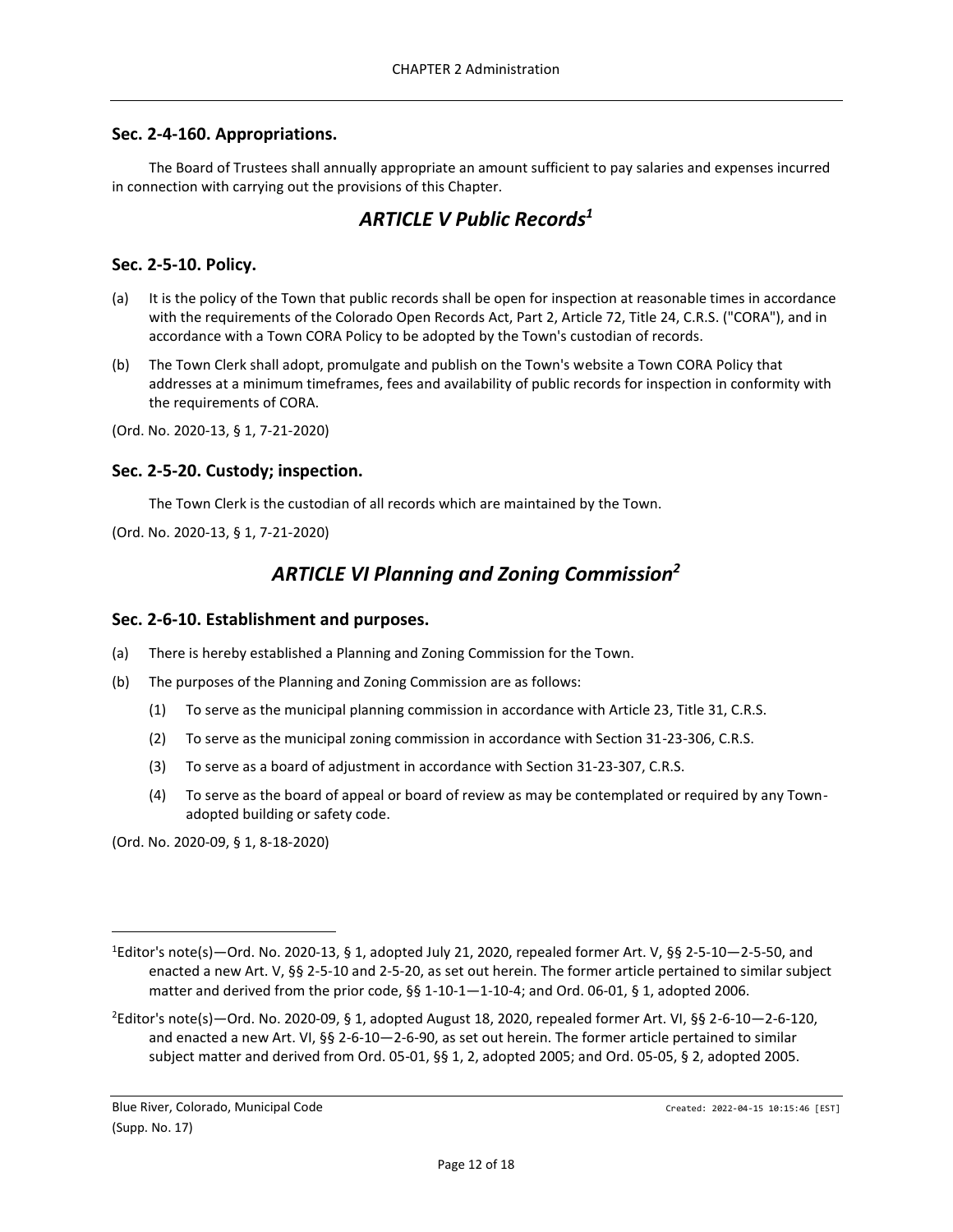### <span id="page-11-0"></span>**Sec. 2-4-160. Appropriations.**

<span id="page-11-1"></span>The Board of Trustees shall annually appropriate an amount sufficient to pay salaries and expenses incurred in connection with carrying out the provisions of this Chapter.

## *ARTICLE V Public Records<sup>1</sup>*

## <span id="page-11-2"></span>**Sec. 2-5-10. Policy.**

- (a) It is the policy of the Town that public records shall be open for inspection at reasonable times in accordance with the requirements of the Colorado Open Records Act, Part 2, Article 72, Title 24, C.R.S. ("CORA"), and in accordance with a Town CORA Policy to be adopted by the Town's custodian of records.
- (b) The Town Clerk shall adopt, promulgate and publish on the Town's website a Town CORA Policy that addresses at a minimum timeframes, fees and availability of public records for inspection in conformity with the requirements of CORA.
- (Ord. No. 2020-13, § 1, 7-21-2020)

#### <span id="page-11-3"></span>**Sec. 2-5-20. Custody; inspection.**

The Town Clerk is the custodian of all records which are maintained by the Town.

<span id="page-11-4"></span>(Ord. No. 2020-13, § 1, 7-21-2020)

## *ARTICLE VI Planning and Zoning Commission<sup>2</sup>*

#### <span id="page-11-5"></span>**Sec. 2-6-10. Establishment and purposes.**

- (a) There is hereby established a Planning and Zoning Commission for the Town.
- (b) The purposes of the Planning and Zoning Commission are as follows:
	- (1) To serve as the municipal planning commission in accordance with Article 23, Title 31, C.R.S.
	- (2) To serve as the municipal zoning commission in accordance with Section 31-23-306, C.R.S.
	- (3) To serve as a board of adjustment in accordance with Section 31-23-307, C.R.S.
	- (4) To serve as the board of appeal or board of review as may be contemplated or required by any Townadopted building or safety code.

(Ord. No. 2020-09, § 1, 8-18-2020)

 $1$ Editor's note(s)—Ord. No. 2020-13, § 1, adopted July 21, 2020, repealed former Art. V, §§ 2-5-10—2-5-50, and enacted a new Art. V, §§ 2-5-10 and 2-5-20, as set out herein. The former article pertained to similar subject matter and derived from the prior code, §§ 1-10-1-1-10-4; and Ord. 06-01, § 1, adopted 2006.

<sup>&</sup>lt;sup>2</sup>Editor's note(s)—Ord. No. 2020-09, § 1, adopted August 18, 2020, repealed former Art. VI, §§ 2-6-10—2-6-120, and enacted a new Art. VI, §§ 2-6-10—2-6-90, as set out herein. The former article pertained to similar subject matter and derived from Ord. 05-01, §§ 1, 2, adopted 2005; and Ord. 05-05, § 2, adopted 2005.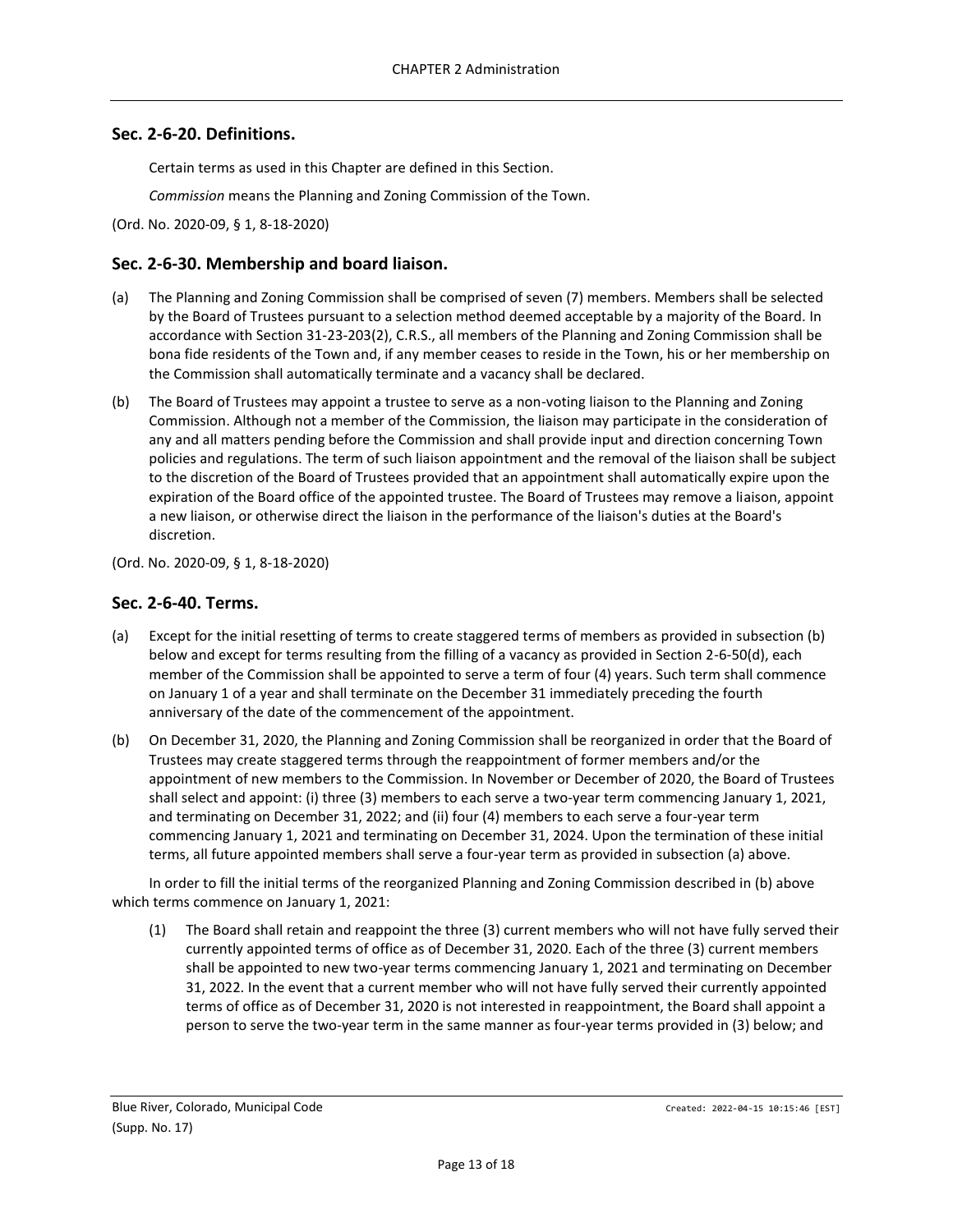#### <span id="page-12-0"></span>**Sec. 2-6-20. Definitions.**

Certain terms as used in this Chapter are defined in this Section.

*Commission* means the Planning and Zoning Commission of the Town.

(Ord. No. 2020-09, § 1, 8-18-2020)

#### <span id="page-12-1"></span>**Sec. 2-6-30. Membership and board liaison.**

- (a) The Planning and Zoning Commission shall be comprised of seven (7) members. Members shall be selected by the Board of Trustees pursuant to a selection method deemed acceptable by a majority of the Board. In accordance with Section 31-23-203(2), C.R.S., all members of the Planning and Zoning Commission shall be bona fide residents of the Town and, if any member ceases to reside in the Town, his or her membership on the Commission shall automatically terminate and a vacancy shall be declared.
- (b) The Board of Trustees may appoint a trustee to serve as a non-voting liaison to the Planning and Zoning Commission. Although not a member of the Commission, the liaison may participate in the consideration of any and all matters pending before the Commission and shall provide input and direction concerning Town policies and regulations. The term of such liaison appointment and the removal of the liaison shall be subject to the discretion of the Board of Trustees provided that an appointment shall automatically expire upon the expiration of the Board office of the appointed trustee. The Board of Trustees may remove a liaison, appoint a new liaison, or otherwise direct the liaison in the performance of the liaison's duties at the Board's discretion.

(Ord. No. 2020-09, § 1, 8-18-2020)

#### <span id="page-12-2"></span>**Sec. 2-6-40. Terms.**

- (a) Except for the initial resetting of terms to create staggered terms of members as provided in subsection (b) below and except for terms resulting from the filling of a vacancy as provided in Section 2-6-50(d), each member of the Commission shall be appointed to serve a term of four (4) years. Such term shall commence on January 1 of a year and shall terminate on the December 31 immediately preceding the fourth anniversary of the date of the commencement of the appointment.
- (b) On December 31, 2020, the Planning and Zoning Commission shall be reorganized in order that the Board of Trustees may create staggered terms through the reappointment of former members and/or the appointment of new members to the Commission. In November or December of 2020, the Board of Trustees shall select and appoint: (i) three (3) members to each serve a two-year term commencing January 1, 2021, and terminating on December 31, 2022; and (ii) four (4) members to each serve a four-year term commencing January 1, 2021 and terminating on December 31, 2024. Upon the termination of these initial terms, all future appointed members shall serve a four-year term as provided in subsection (a) above.

In order to fill the initial terms of the reorganized Planning and Zoning Commission described in (b) above which terms commence on January 1, 2021:

(1) The Board shall retain and reappoint the three (3) current members who will not have fully served their currently appointed terms of office as of December 31, 2020. Each of the three (3) current members shall be appointed to new two-year terms commencing January 1, 2021 and terminating on December 31, 2022. In the event that a current member who will not have fully served their currently appointed terms of office as of December 31, 2020 is not interested in reappointment, the Board shall appoint a person to serve the two-year term in the same manner as four-year terms provided in (3) below; and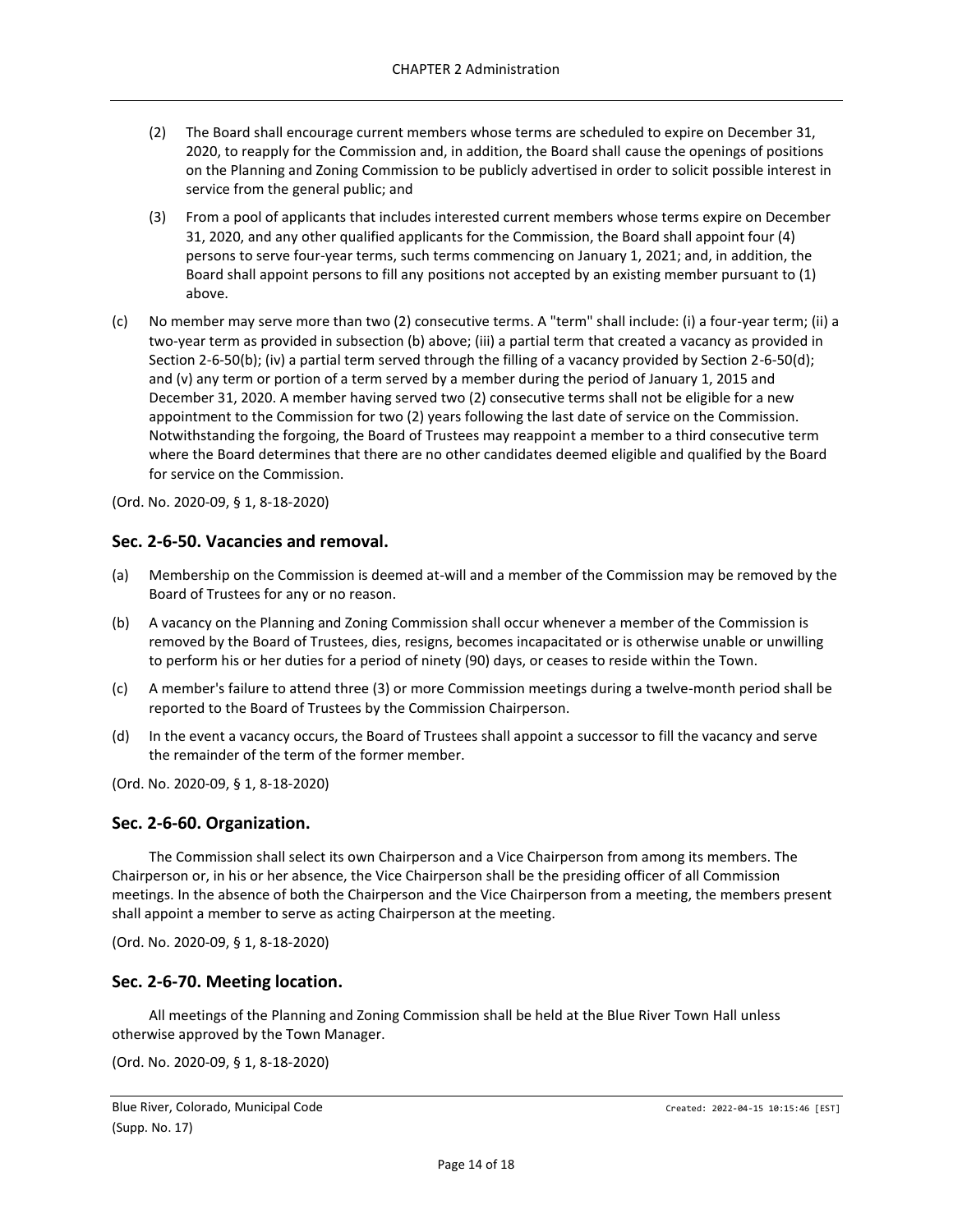- (2) The Board shall encourage current members whose terms are scheduled to expire on December 31, 2020, to reapply for the Commission and, in addition, the Board shall cause the openings of positions on the Planning and Zoning Commission to be publicly advertised in order to solicit possible interest in service from the general public; and
- (3) From a pool of applicants that includes interested current members whose terms expire on December 31, 2020, and any other qualified applicants for the Commission, the Board shall appoint four (4) persons to serve four-year terms, such terms commencing on January 1, 2021; and, in addition, the Board shall appoint persons to fill any positions not accepted by an existing member pursuant to (1) above.
- (c) No member may serve more than two (2) consecutive terms. A "term" shall include: (i) a four-year term; (ii) a two-year term as provided in subsection (b) above; (iii) a partial term that created a vacancy as provided in Section 2-6-50(b); (iv) a partial term served through the filling of a vacancy provided by Section 2-6-50(d); and (v) any term or portion of a term served by a member during the period of January 1, 2015 and December 31, 2020. A member having served two (2) consecutive terms shall not be eligible for a new appointment to the Commission for two (2) years following the last date of service on the Commission. Notwithstanding the forgoing, the Board of Trustees may reappoint a member to a third consecutive term where the Board determines that there are no other candidates deemed eligible and qualified by the Board for service on the Commission.
- (Ord. No. 2020-09, § 1, 8-18-2020)

#### <span id="page-13-0"></span>**Sec. 2-6-50. Vacancies and removal.**

- (a) Membership on the Commission is deemed at-will and a member of the Commission may be removed by the Board of Trustees for any or no reason.
- (b) A vacancy on the Planning and Zoning Commission shall occur whenever a member of the Commission is removed by the Board of Trustees, dies, resigns, becomes incapacitated or is otherwise unable or unwilling to perform his or her duties for a period of ninety (90) days, or ceases to reside within the Town.
- (c) A member's failure to attend three (3) or more Commission meetings during a twelve-month period shall be reported to the Board of Trustees by the Commission Chairperson.
- (d) In the event a vacancy occurs, the Board of Trustees shall appoint a successor to fill the vacancy and serve the remainder of the term of the former member.

(Ord. No. 2020-09, § 1, 8-18-2020)

#### <span id="page-13-1"></span>**Sec. 2-6-60. Organization.**

The Commission shall select its own Chairperson and a Vice Chairperson from among its members. The Chairperson or, in his or her absence, the Vice Chairperson shall be the presiding officer of all Commission meetings. In the absence of both the Chairperson and the Vice Chairperson from a meeting, the members present shall appoint a member to serve as acting Chairperson at the meeting.

(Ord. No. 2020-09, § 1, 8-18-2020)

#### <span id="page-13-2"></span>**Sec. 2-6-70. Meeting location.**

All meetings of the Planning and Zoning Commission shall be held at the Blue River Town Hall unless otherwise approved by the Town Manager.

(Ord. No. 2020-09, § 1, 8-18-2020)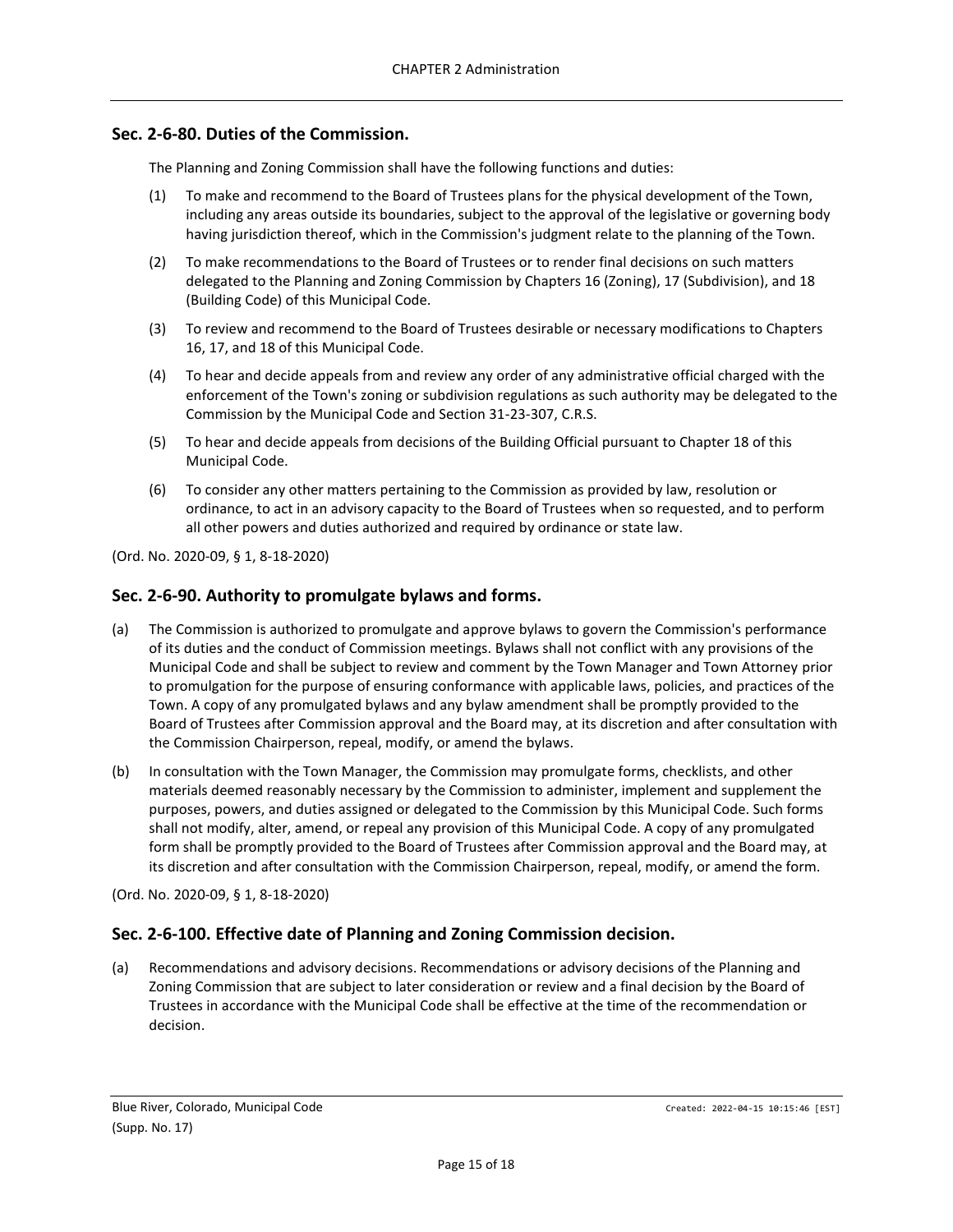### <span id="page-14-0"></span>**Sec. 2-6-80. Duties of the Commission.**

The Planning and Zoning Commission shall have the following functions and duties:

- (1) To make and recommend to the Board of Trustees plans for the physical development of the Town, including any areas outside its boundaries, subject to the approval of the legislative or governing body having jurisdiction thereof, which in the Commission's judgment relate to the planning of the Town.
- (2) To make recommendations to the Board of Trustees or to render final decisions on such matters delegated to the Planning and Zoning Commission by Chapters 16 (Zoning), 17 (Subdivision), and 18 (Building Code) of this Municipal Code.
- (3) To review and recommend to the Board of Trustees desirable or necessary modifications to Chapters 16, 17, and 18 of this Municipal Code.
- (4) To hear and decide appeals from and review any order of any administrative official charged with the enforcement of the Town's zoning or subdivision regulations as such authority may be delegated to the Commission by the Municipal Code and Section 31-23-307, C.R.S.
- (5) To hear and decide appeals from decisions of the Building Official pursuant to Chapter 18 of this Municipal Code.
- (6) To consider any other matters pertaining to the Commission as provided by law, resolution or ordinance, to act in an advisory capacity to the Board of Trustees when so requested, and to perform all other powers and duties authorized and required by ordinance or state law.

(Ord. No. 2020-09, § 1, 8-18-2020)

#### <span id="page-14-1"></span>**Sec. 2-6-90. Authority to promulgate bylaws and forms.**

- (a) The Commission is authorized to promulgate and approve bylaws to govern the Commission's performance of its duties and the conduct of Commission meetings. Bylaws shall not conflict with any provisions of the Municipal Code and shall be subject to review and comment by the Town Manager and Town Attorney prior to promulgation for the purpose of ensuring conformance with applicable laws, policies, and practices of the Town. A copy of any promulgated bylaws and any bylaw amendment shall be promptly provided to the Board of Trustees after Commission approval and the Board may, at its discretion and after consultation with the Commission Chairperson, repeal, modify, or amend the bylaws.
- (b) In consultation with the Town Manager, the Commission may promulgate forms, checklists, and other materials deemed reasonably necessary by the Commission to administer, implement and supplement the purposes, powers, and duties assigned or delegated to the Commission by this Municipal Code. Such forms shall not modify, alter, amend, or repeal any provision of this Municipal Code. A copy of any promulgated form shall be promptly provided to the Board of Trustees after Commission approval and the Board may, at its discretion and after consultation with the Commission Chairperson, repeal, modify, or amend the form.

(Ord. No. 2020-09, § 1, 8-18-2020)

## <span id="page-14-2"></span>**Sec. 2-6-100. Effective date of Planning and Zoning Commission decision.**

(a) Recommendations and advisory decisions. Recommendations or advisory decisions of the Planning and Zoning Commission that are subject to later consideration or review and a final decision by the Board of Trustees in accordance with the Municipal Code shall be effective at the time of the recommendation or decision.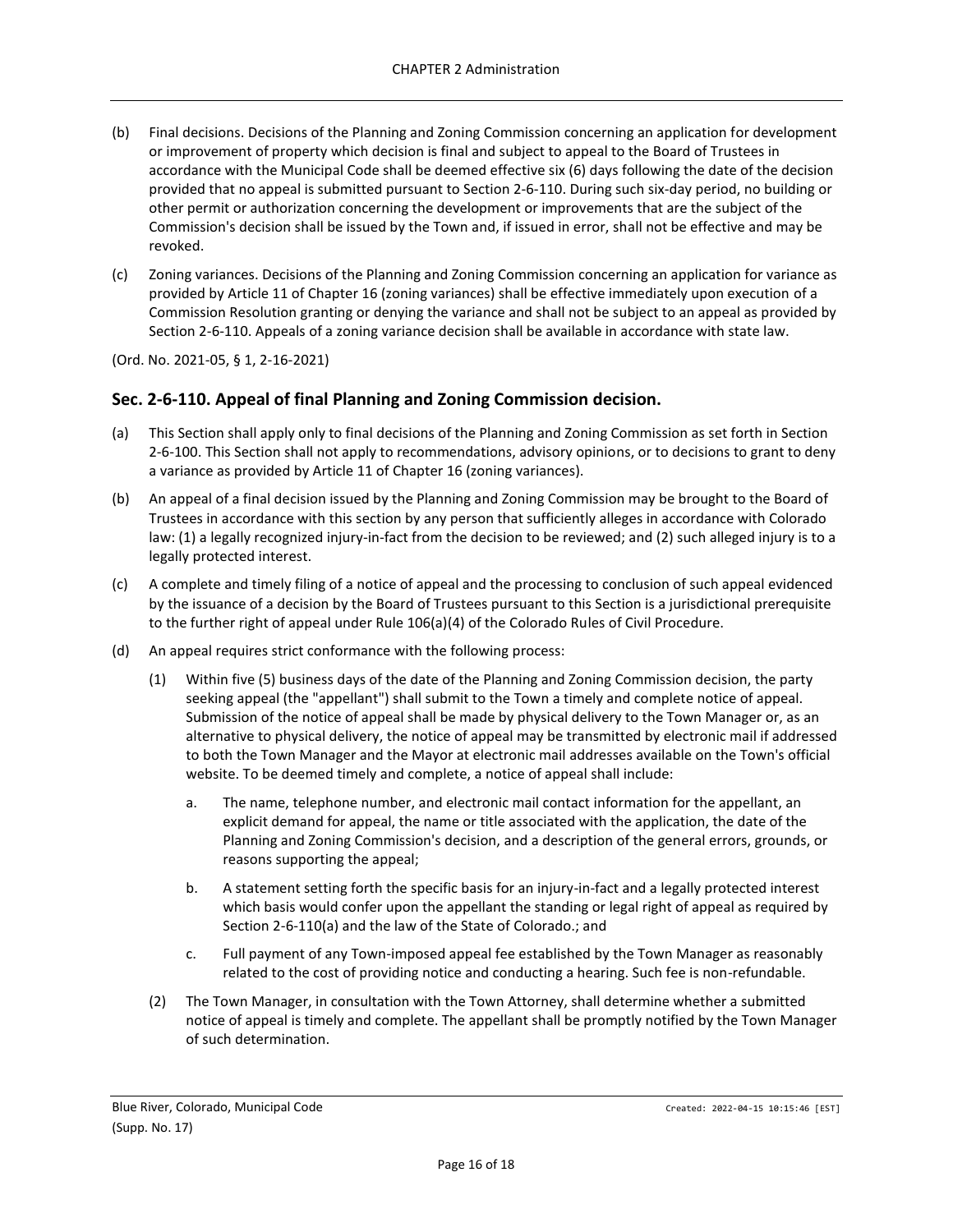- (b) Final decisions. Decisions of the Planning and Zoning Commission concerning an application for development or improvement of property which decision is final and subject to appeal to the Board of Trustees in accordance with the Municipal Code shall be deemed effective six (6) days following the date of the decision provided that no appeal is submitted pursuant to Section 2-6-110. During such six-day period, no building or other permit or authorization concerning the development or improvements that are the subject of the Commission's decision shall be issued by the Town and, if issued in error, shall not be effective and may be revoked.
- (c) Zoning variances. Decisions of the Planning and Zoning Commission concerning an application for variance as provided by Article 11 of Chapter 16 (zoning variances) shall be effective immediately upon execution of a Commission Resolution granting or denying the variance and shall not be subject to an appeal as provided by Section 2-6-110. Appeals of a zoning variance decision shall be available in accordance with state law.

(Ord. No. 2021-05, § 1, 2-16-2021)

## <span id="page-15-0"></span>**Sec. 2-6-110. Appeal of final Planning and Zoning Commission decision.**

- (a) This Section shall apply only to final decisions of the Planning and Zoning Commission as set forth in Section 2-6-100. This Section shall not apply to recommendations, advisory opinions, or to decisions to grant to deny a variance as provided by Article 11 of Chapter 16 (zoning variances).
- (b) An appeal of a final decision issued by the Planning and Zoning Commission may be brought to the Board of Trustees in accordance with this section by any person that sufficiently alleges in accordance with Colorado law: (1) a legally recognized injury-in-fact from the decision to be reviewed; and (2) such alleged injury is to a legally protected interest.
- (c) A complete and timely filing of a notice of appeal and the processing to conclusion of such appeal evidenced by the issuance of a decision by the Board of Trustees pursuant to this Section is a jurisdictional prerequisite to the further right of appeal under Rule 106(a)(4) of the Colorado Rules of Civil Procedure.
- (d) An appeal requires strict conformance with the following process:
	- (1) Within five (5) business days of the date of the Planning and Zoning Commission decision, the party seeking appeal (the "appellant") shall submit to the Town a timely and complete notice of appeal. Submission of the notice of appeal shall be made by physical delivery to the Town Manager or, as an alternative to physical delivery, the notice of appeal may be transmitted by electronic mail if addressed to both the Town Manager and the Mayor at electronic mail addresses available on the Town's official website. To be deemed timely and complete, a notice of appeal shall include:
		- a. The name, telephone number, and electronic mail contact information for the appellant, an explicit demand for appeal, the name or title associated with the application, the date of the Planning and Zoning Commission's decision, and a description of the general errors, grounds, or reasons supporting the appeal;
		- b. A statement setting forth the specific basis for an injury-in-fact and a legally protected interest which basis would confer upon the appellant the standing or legal right of appeal as required by Section 2-6-110(a) and the law of the State of Colorado.; and
		- c. Full payment of any Town-imposed appeal fee established by the Town Manager as reasonably related to the cost of providing notice and conducting a hearing. Such fee is non-refundable.
	- (2) The Town Manager, in consultation with the Town Attorney, shall determine whether a submitted notice of appeal is timely and complete. The appellant shall be promptly notified by the Town Manager of such determination.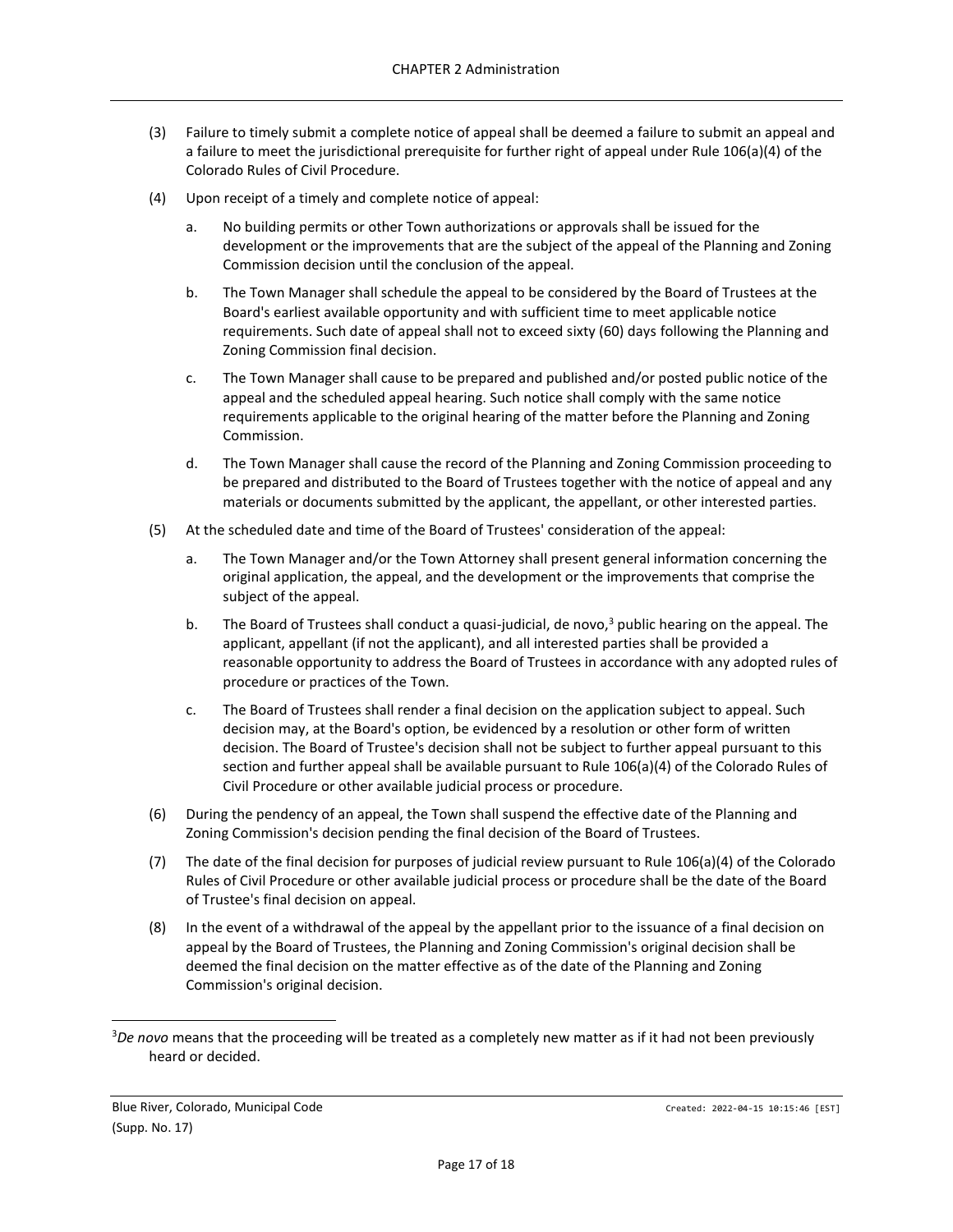- (3) Failure to timely submit a complete notice of appeal shall be deemed a failure to submit an appeal and a failure to meet the jurisdictional prerequisite for further right of appeal under Rule 106(a)(4) of the Colorado Rules of Civil Procedure.
- (4) Upon receipt of a timely and complete notice of appeal:
	- a. No building permits or other Town authorizations or approvals shall be issued for the development or the improvements that are the subject of the appeal of the Planning and Zoning Commission decision until the conclusion of the appeal.
	- b. The Town Manager shall schedule the appeal to be considered by the Board of Trustees at the Board's earliest available opportunity and with sufficient time to meet applicable notice requirements. Such date of appeal shall not to exceed sixty (60) days following the Planning and Zoning Commission final decision.
	- c. The Town Manager shall cause to be prepared and published and/or posted public notice of the appeal and the scheduled appeal hearing. Such notice shall comply with the same notice requirements applicable to the original hearing of the matter before the Planning and Zoning Commission.
	- d. The Town Manager shall cause the record of the Planning and Zoning Commission proceeding to be prepared and distributed to the Board of Trustees together with the notice of appeal and any materials or documents submitted by the applicant, the appellant, or other interested parties.
- (5) At the scheduled date and time of the Board of Trustees' consideration of the appeal:
	- a. The Town Manager and/or the Town Attorney shall present general information concerning the original application, the appeal, and the development or the improvements that comprise the subject of the appeal.
	- b. The Board of Trustees shall conduct a quasi-judicial, de novo, $3$  public hearing on the appeal. The applicant, appellant (if not the applicant), and all interested parties shall be provided a reasonable opportunity to address the Board of Trustees in accordance with any adopted rules of procedure or practices of the Town.
	- c. The Board of Trustees shall render a final decision on the application subject to appeal. Such decision may, at the Board's option, be evidenced by a resolution or other form of written decision. The Board of Trustee's decision shall not be subject to further appeal pursuant to this section and further appeal shall be available pursuant to Rule 106(a)(4) of the Colorado Rules of Civil Procedure or other available judicial process or procedure.
- (6) During the pendency of an appeal, the Town shall suspend the effective date of the Planning and Zoning Commission's decision pending the final decision of the Board of Trustees.
- (7) The date of the final decision for purposes of judicial review pursuant to Rule 106(a)(4) of the Colorado Rules of Civil Procedure or other available judicial process or procedure shall be the date of the Board of Trustee's final decision on appeal.
- (8) In the event of a withdrawal of the appeal by the appellant prior to the issuance of a final decision on appeal by the Board of Trustees, the Planning and Zoning Commission's original decision shall be deemed the final decision on the matter effective as of the date of the Planning and Zoning Commission's original decision.

<sup>3</sup>*De novo* means that the proceeding will be treated as a completely new matter as if it had not been previously heard or decided.

Blue River, Colorado, Municipal Code Created: 2022-04-15 10:15:46 [EST] (Supp. No. 17)